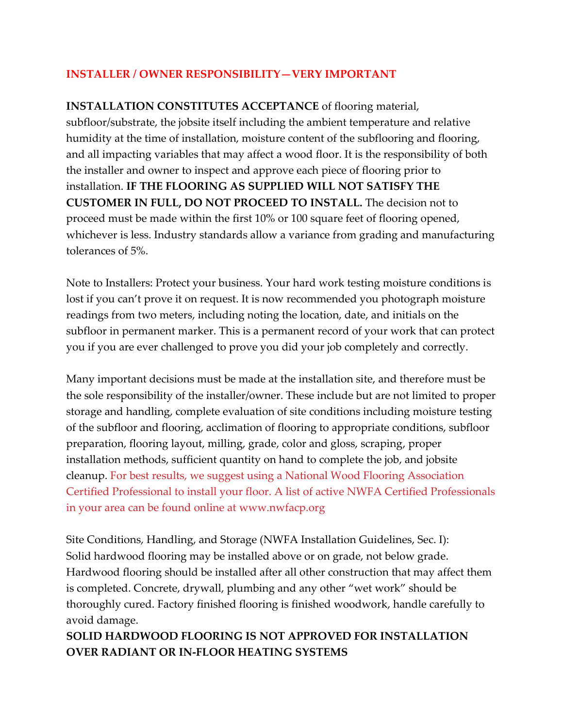### **INSTALLER / OWNER RESPONSIBILITY—VERY IMPORTANT**

**INSTALLATION CONSTITUTES ACCEPTANCE** of flooring material, subfloor/substrate, the jobsite itself including the ambient temperature and relative humidity at the time of installation, moisture content of the subflooring and flooring, and all impacting variables that may affect a wood floor. It is the responsibility of both the installer and owner to inspect and approve each piece of flooring prior to installation. **IF THE FLOORING AS SUPPLIED WILL NOT SATISFY THE CUSTOMER IN FULL, DO NOT PROCEED TO INSTALL.** The decision not to proceed must be made within the first 10% or 100 square feet of flooring opened, whichever is less. Industry standards allow a variance from grading and manufacturing tolerances of 5%.

Note to Installers: Protect your business. Your hard work testing moisture conditions is lost if you can't prove it on request. It is now recommended you photograph moisture readings from two meters, including noting the location, date, and initials on the subfloor in permanent marker. This is a permanent record of your work that can protect you if you are ever challenged to prove you did your job completely and correctly.

Many important decisions must be made at the installation site, and therefore must be the sole responsibility of the installer/owner. These include but are not limited to proper storage and handling, complete evaluation of site conditions including moisture testing of the subfloor and flooring, acclimation of flooring to appropriate conditions, subfloor preparation, flooring layout, milling, grade, color and gloss, scraping, proper installation methods, sufficient quantity on hand to complete the job, and jobsite cleanup. For best results, we suggest using a National Wood Flooring Association Certified Professional to install your floor. A list of active NWFA Certified Professionals in your area can be found online at [www.nwfacp.org](http://www.nwfacp.org/)

Site Conditions, Handling, and Storage (NWFA Installation Guidelines, Sec. I): Solid hardwood flooring may be installed above or on grade, not below grade. Hardwood flooring should be installed after all other construction that may affect them is completed. Concrete, drywall, plumbing and any other "wet work" should be thoroughly cured. Factory finished flooring is finished woodwork, handle carefully to avoid damage.

## **SOLID HARDWOOD FLOORING IS NOT APPROVED FOR INSTALLATION OVER RADIANT OR IN-FLOOR HEATING SYSTEMS**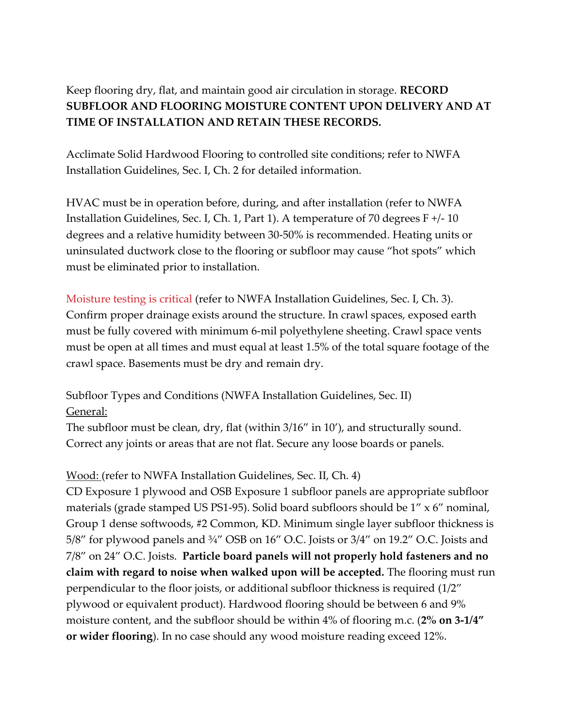# Keep flooring dry, flat, and maintain good air circulation in storage. **RECORD SUBFLOOR AND FLOORING MOISTURE CONTENT UPON DELIVERY AND AT TIME OF INSTALLATION AND RETAIN THESE RECORDS.**

Acclimate Solid Hardwood Flooring to controlled site conditions; refer to NWFA Installation Guidelines, Sec. I, Ch. 2 for detailed information.

HVAC must be in operation before, during, and after installation (refer to NWFA Installation Guidelines, Sec. I, Ch. 1, Part 1). A temperature of 70 degrees F +/- 10 degrees and a relative humidity between 30-50% is recommended. Heating units or uninsulated ductwork close to the flooring or subfloor may cause "hot spots" which must be eliminated prior to installation.

Moisture testing is critical (refer to NWFA Installation Guidelines, Sec. I, Ch. 3). Confirm proper drainage exists around the structure. In crawl spaces, exposed earth must be fully covered with minimum 6-mil polyethylene sheeting. Crawl space vents must be open at all times and must equal at least 1.5% of the total square footage of the crawl space. Basements must be dry and remain dry.

Subfloor Types and Conditions (NWFA Installation Guidelines, Sec. II) General:

The subfloor must be clean, dry, flat (within 3/16" in 10'), and structurally sound. Correct any joints or areas that are not flat. Secure any loose boards or panels.

Wood: (refer to NWFA Installation Guidelines, Sec. II, Ch. 4)

CD Exposure 1 plywood and OSB Exposure 1 subfloor panels are appropriate subfloor materials (grade stamped US PS1-95). Solid board subfloors should be 1" x 6" nominal, Group 1 dense softwoods, #2 Common, KD. Minimum single layer subfloor thickness is 5/8" for plywood panels and ¾" OSB on 16" O.C. Joists or 3/4" on 19.2" O.C. Joists and 7/8" on 24" O.C. Joists. **Particle board panels will not properly hold fasteners and no claim with regard to noise when walked upon will be accepted.** The flooring must run perpendicular to the floor joists, or additional subfloor thickness is required (1/2" plywood or equivalent product). Hardwood flooring should be between 6 and 9% moisture content, and the subfloor should be within 4% of flooring m.c. (**2% on 3-1/4" or wider flooring**). In no case should any wood moisture reading exceed 12%.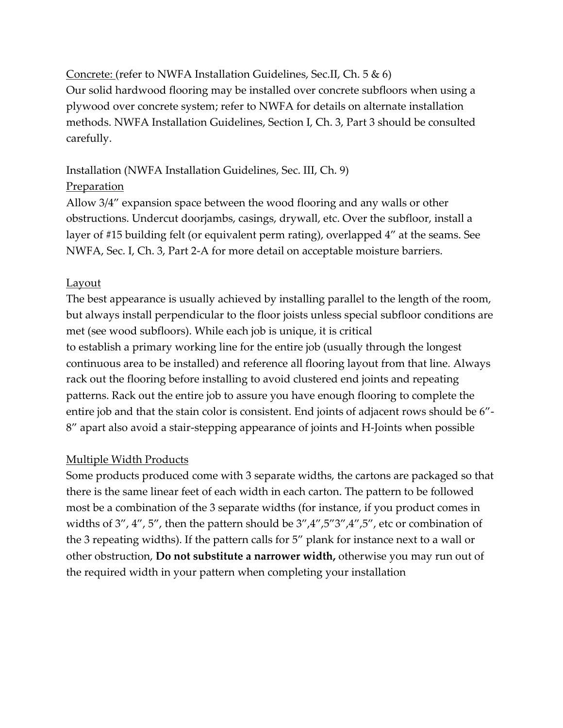Concrete: (refer to NWFA Installation Guidelines, Sec.II, Ch. 5 & 6)

Our solid hardwood flooring may be installed over concrete subfloors when using a plywood over concrete system; refer to NWFA for details on alternate installation methods. NWFA Installation Guidelines, Section I, Ch. 3, Part 3 should be consulted carefully.

### Installation (NWFA Installation Guidelines, Sec. III, Ch. 9)

### **Preparation**

Allow 3/4" expansion space between the wood flooring and any walls or other obstructions. Undercut doorjambs, casings, drywall, etc. Over the subfloor, install a layer of #15 building felt (or equivalent perm rating), overlapped 4" at the seams. See NWFA, Sec. I, Ch. 3, Part 2-A for more detail on acceptable moisture barriers.

## **Layout**

The best appearance is usually achieved by installing parallel to the length of the room, but always install perpendicular to the floor joists unless special subfloor conditions are met (see wood subfloors). While each job is unique, it is critical to establish a primary working line for the entire job (usually through the longest continuous area to be installed) and reference all flooring layout from that line. Always rack out the flooring before installing to avoid clustered end joints and repeating patterns. Rack out the entire job to assure you have enough flooring to complete the entire job and that the stain color is consistent. End joints of adjacent rows should be 6"- 8" apart also avoid a stair-stepping appearance of joints and H-Joints when possible

## Multiple Width Products

Some products produced come with 3 separate widths, the cartons are packaged so that there is the same linear feet of each width in each carton. The pattern to be followed most be a combination of the 3 separate widths (for instance, if you product comes in widths of 3", 4", 5", then the pattern should be  $3''$ ,  $4''$ ,  $5''$ ,  $3''$ ,  $4''$ ,  $5''$ , etc or combination of the 3 repeating widths). If the pattern calls for 5" plank for instance next to a wall or other obstruction, **Do not substitute a narrower width,** otherwise you may run out of the required width in your pattern when completing your installation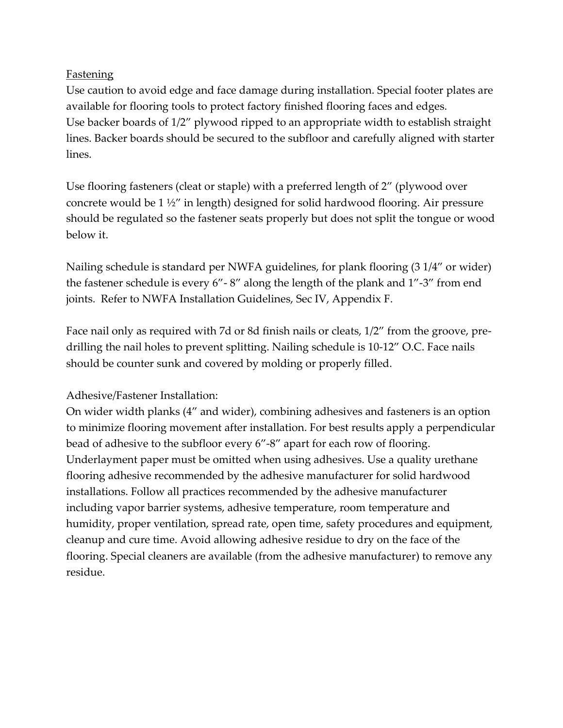### **Fastening**

Use caution to avoid edge and face damage during installation. Special footer plates are available for flooring tools to protect factory finished flooring faces and edges. Use backer boards of 1/2" plywood ripped to an appropriate width to establish straight lines. Backer boards should be secured to the subfloor and carefully aligned with starter lines.

Use flooring fasteners (cleat or staple) with a preferred length of 2" (plywood over concrete would be 1 ½" in length) designed for solid hardwood flooring. Air pressure should be regulated so the fastener seats properly but does not split the tongue or wood below it.

Nailing schedule is standard per NWFA guidelines, for plank flooring (3 1/4" or wider) the fastener schedule is every 6"- 8" along the length of the plank and 1"-3" from end joints. Refer to NWFA Installation Guidelines, Sec IV, Appendix F.

Face nail only as required with 7d or 8d finish nails or cleats, 1/2" from the groove, predrilling the nail holes to prevent splitting. Nailing schedule is 10-12" O.C. Face nails should be counter sunk and covered by molding or properly filled.

#### Adhesive/Fastener Installation:

On wider width planks (4" and wider), combining adhesives and fasteners is an option to minimize flooring movement after installation. For best results apply a perpendicular bead of adhesive to the subfloor every 6"-8" apart for each row of flooring. Underlayment paper must be omitted when using adhesives. Use a quality urethane flooring adhesive recommended by the adhesive manufacturer for solid hardwood installations. Follow all practices recommended by the adhesive manufacturer including vapor barrier systems, adhesive temperature, room temperature and humidity, proper ventilation, spread rate, open time, safety procedures and equipment, cleanup and cure time. Avoid allowing adhesive residue to dry on the face of the flooring. Special cleaners are available (from the adhesive manufacturer) to remove any residue.